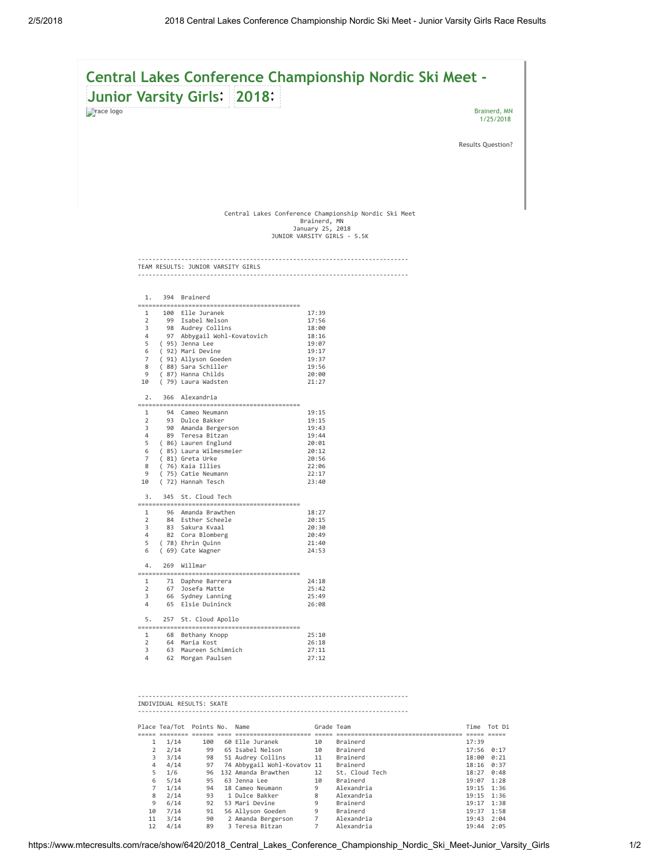